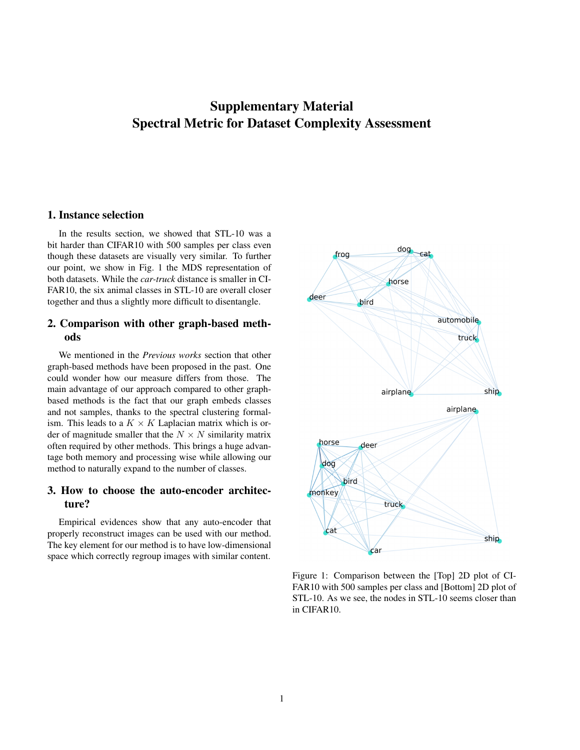## Supplementary Material Spectral Metric for Dataset Complexity Assessment

## 1. Instance selection

In the results section, we showed that STL-10 was a bit harder than CIFAR10 with 500 samples per class even though these datasets are visually very similar. To further our point, we show in Fig. 1 the MDS representation of both datasets. While the *car-truck* distance is smaller in CI-FAR10, the six animal classes in STL-10 are overall closer together and thus a slightly more difficult to disentangle.

## 2. Comparison with other graph-based methods

We mentioned in the *Previous works* section that other graph-based methods have been proposed in the past. One could wonder how our measure differs from those. The main advantage of our approach compared to other graphbased methods is the fact that our graph embeds classes and not samples, thanks to the spectral clustering formalism. This leads to a  $K \times K$  Laplacian matrix which is order of magnitude smaller that the  $N \times N$  similarity matrix often required by other methods. This brings a huge advantage both memory and processing wise while allowing our method to naturally expand to the number of classes.

## 3. How to choose the auto-encoder architecture?

Empirical evidences show that any auto-encoder that properly reconstruct images can be used with our method. The key element for our method is to have low-dimensional space which correctly regroup images with similar content.



Figure 1: Comparison between the [Top] 2D plot of CI-FAR10 with 500 samples per class and [Bottom] 2D plot of STL-10. As we see, the nodes in STL-10 seems closer than in CIFAR10.